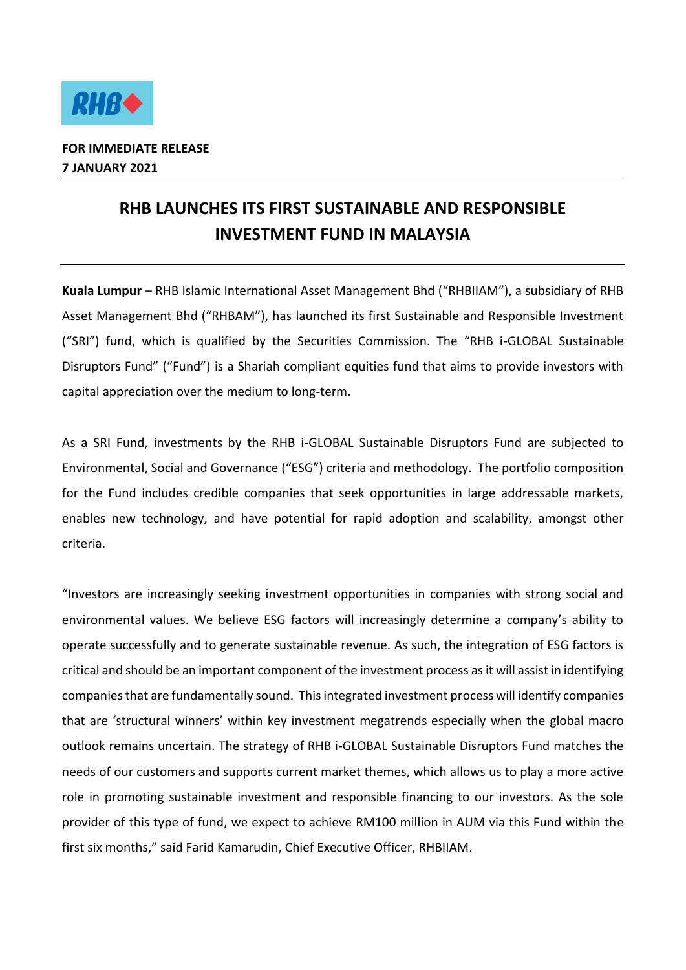

## **RHB LAUNCHES ITS FIRST SUSTAINABLE AND RESPONSIBLE INVESTMENT FUND IN MALAYSIA**

**Kuala Lumpur** – RHB Islamic International Asset Management Bhd ("RHBIIAM"), a subsidiary of RHB Asset Management Bhd ("RHBAM"), has launched its first Sustainable and Responsible Investment ("SRI") fund, which is qualified by the Securities Commission. The "RHB i-GLOBAL Sustainable Disruptors Fund" ("Fund") is a Shariah compliant equities fund that aims to provide investors with capital appreciation over the medium to long-term.

As a SRI Fund, investments by the RHB i-GLOBAL Sustainable Disruptors Fund are subjected to Environmental, Social and Governance ("ESG") criteria and methodology. The portfolio composition for the Fund includes credible companies that seek opportunities in large addressable markets, enables new technology, and have potential for rapid adoption and scalability, amongst other criteria.

"Investors are increasingly seeking investment opportunities in companies with strong social and environmental values. We believe ESG factors will increasingly determine a company's ability to operate successfully and to generate sustainable revenue. As such, the integration of ESG factors is critical and should be an important component of the investment process as it will assist in identifying companies that are fundamentally sound. This integrated investment process will identify companies that are 'structural winners' within key investment megatrends especially when the global macro outlook remains uncertain. The strategy of RHB i-GLOBAL Sustainable Disruptors Fund matches the needs of our customers and supports current market themes, which allows us to play a more active role in promoting sustainable investment and responsible financing to our investors. As the sole provider of this type of fund, we expect to achieve RM100 million in AUM via this Fund within the first six months," said Farid Kamarudin, Chief Executive Officer, RHBIIAM.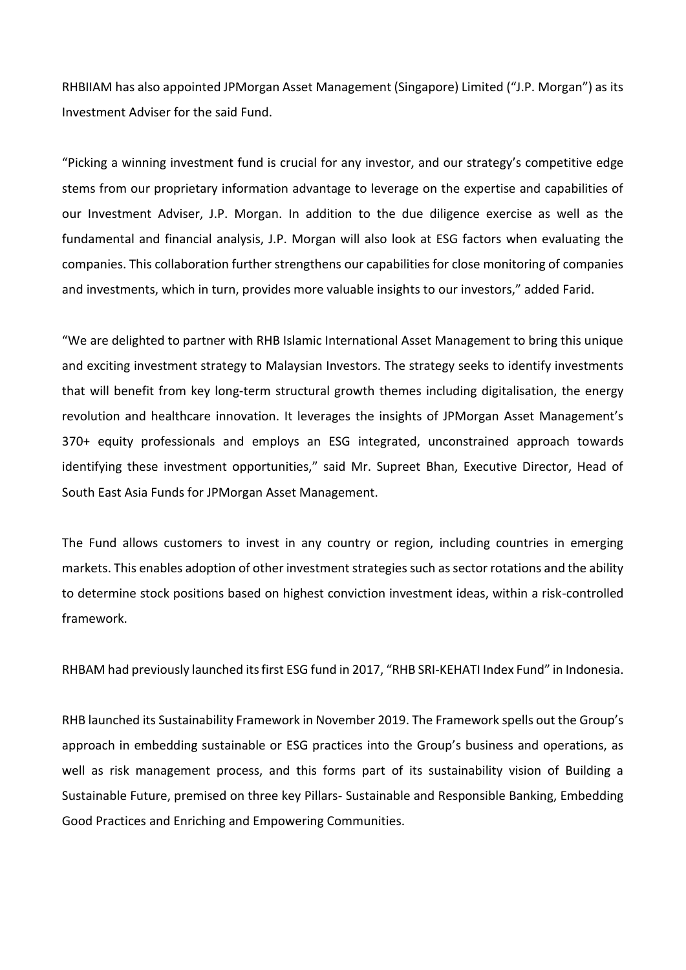RHBIIAM has also appointed JPMorgan Asset Management (Singapore) Limited ("J.P. Morgan") as its Investment Adviser for the said Fund.

"Picking a winning investment fund is crucial for any investor, and our strategy's competitive edge stems from our proprietary information advantage to leverage on the expertise and capabilities of our Investment Adviser, J.P. Morgan. In addition to the due diligence exercise as well as the fundamental and financial analysis, J.P. Morgan will also look at ESG factors when evaluating the companies. This collaboration further strengthens our capabilities for close monitoring of companies and investments, which in turn, provides more valuable insights to our investors," added Farid.

"We are delighted to partner with RHB Islamic International Asset Management to bring this unique and exciting investment strategy to Malaysian Investors. The strategy seeks to identify investments that will benefit from key long-term structural growth themes including digitalisation, the energy revolution and healthcare innovation. It leverages the insights of JPMorgan Asset Management's 370+ equity professionals and employs an ESG integrated, unconstrained approach towards identifying these investment opportunities," said Mr. Supreet Bhan, Executive Director, Head of South East Asia Funds for JPMorgan Asset Management.

The Fund allows customers to invest in any country or region, including countries in emerging markets. This enables adoption of other investment strategies such as sector rotations and the ability to determine stock positions based on highest conviction investment ideas, within a risk-controlled framework.

RHBAM had previously launched its first ESG fund in 2017, "RHB SRI-KEHATI Index Fund" in Indonesia.

RHB launched its Sustainability Framework in November 2019. The Framework spells out the Group's approach in embedding sustainable or ESG practices into the Group's business and operations, as well as risk management process, and this forms part of its sustainability vision of Building a Sustainable Future, premised on three key Pillars- Sustainable and Responsible Banking, Embedding Good Practices and Enriching and Empowering Communities.